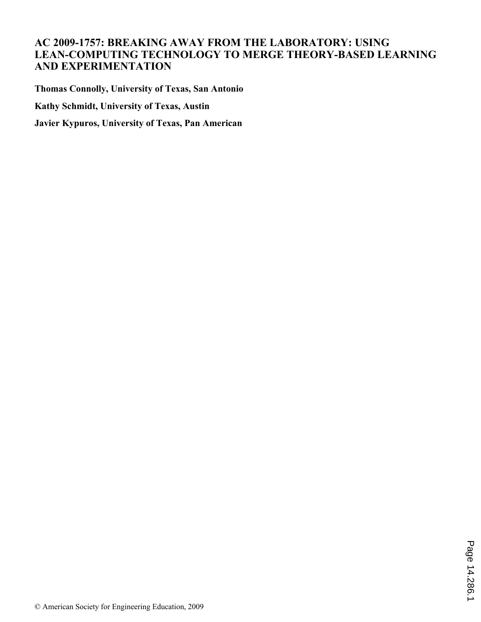# **AC 2009-1757: BREAKING AWAY FROM THE LABORATORY: USING LEAN-COMPUTING TECHNOLOGY TO MERGE THEORY-BASED LEARNING AND EXPERIMENTATION**

**Thomas Connolly, University of Texas, San Antonio Kathy Schmidt, University of Texas, Austin Javier Kypuros, University of Texas, Pan American**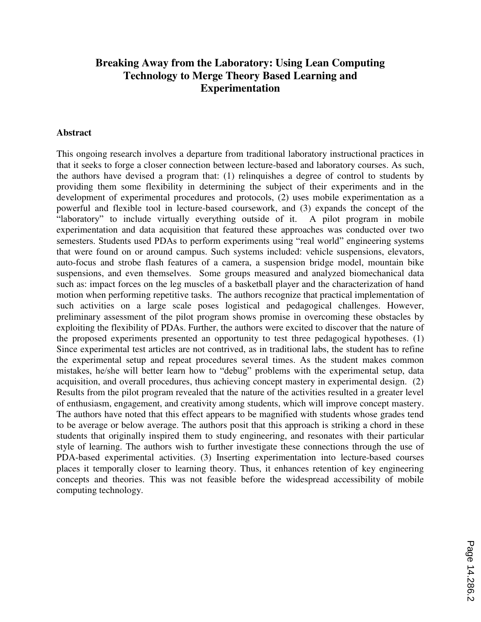# **Breaking Away from the Laboratory: Using Lean Computing Technology to Merge Theory Based Learning and Experimentation**

#### **Abstract**

This ongoing research involves a departure from traditional laboratory instructional practices in that it seeks to forge a closer connection between lecture-based and laboratory courses. As such, the authors have devised a program that: (1) relinquishes a degree of control to students by providing them some flexibility in determining the subject of their experiments and in the development of experimental procedures and protocols, (2) uses mobile experimentation as a powerful and flexible tool in lecture-based coursework, and (3) expands the concept of the "laboratory" to include virtually everything outside of it. A pilot program in mobile experimentation and data acquisition that featured these approaches was conducted over two semesters. Students used PDAs to perform experiments using "real world" engineering systems that were found on or around campus. Such systems included: vehicle suspensions, elevators, auto-focus and strobe flash features of a camera, a suspension bridge model, mountain bike suspensions, and even themselves. Some groups measured and analyzed biomechanical data such as: impact forces on the leg muscles of a basketball player and the characterization of hand motion when performing repetitive tasks. The authors recognize that practical implementation of such activities on a large scale poses logistical and pedagogical challenges. However, preliminary assessment of the pilot program shows promise in overcoming these obstacles by exploiting the flexibility of PDAs. Further, the authors were excited to discover that the nature of the proposed experiments presented an opportunity to test three pedagogical hypotheses. (1) Since experimental test articles are not contrived, as in traditional labs, the student has to refine the experimental setup and repeat procedures several times. As the student makes common mistakes, he/she will better learn how to "debug" problems with the experimental setup, data acquisition, and overall procedures, thus achieving concept mastery in experimental design. (2) Results from the pilot program revealed that the nature of the activities resulted in a greater level of enthusiasm, engagement, and creativity among students, which will improve concept mastery. The authors have noted that this effect appears to be magnified with students whose grades tend to be average or below average. The authors posit that this approach is striking a chord in these students that originally inspired them to study engineering, and resonates with their particular style of learning. The authors wish to further investigate these connections through the use of PDA-based experimental activities. (3) Inserting experimentation into lecture-based courses places it temporally closer to learning theory. Thus, it enhances retention of key engineering concepts and theories. This was not feasible before the widespread accessibility of mobile computing technology.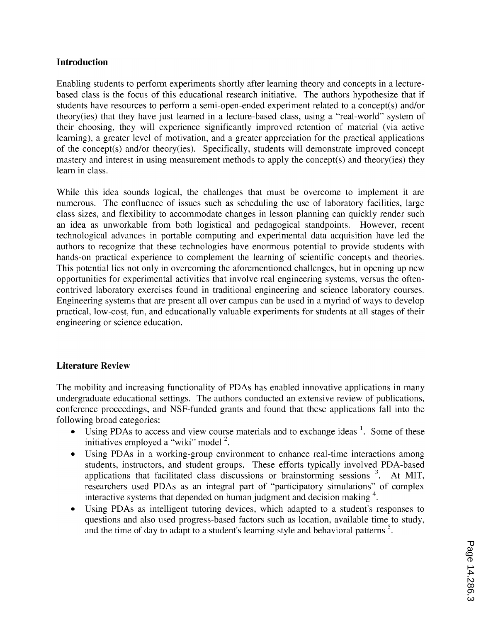### **Introduction**

Enabling students to perform experiments shortly after learning theory and concepts in a lecturebased class is the focus of this educational research initiative. The authors hypothesize that if students have resources to perform a semi-open-ended experiment related to a concept(s) and/or theory(ies) that they have just learned in a lecture-based class, using a "real-world" system of their choosing, they will experience significantly improved retention of material (via active learning), a greater level of motivation, and a greater appreciation for the practical applications of the concept(s) and/or theory(ies). Specifically, students will demonstrate improved concept mastery and interest in using measurement methods to apply the concept(s) and theory(ies) they learn in class.

While this idea sounds logical, the challenges that must be overcome to implement it are numerous. The confluence of issues such as scheduling the use of laboratory facilities, large class sizes, and flexibility to accommodate changes in lesson planning can quickly render such an idea as unworkable from both logistical and pedagogical standpoints. However, recent technological advances in portable computing and experimental data acquisition have led the authors to recognize that these technologies have enormous potential to provide students with hands-on practical experience to complement the learning of scientific concepts and theories. This potential lies not only in overcoming the aforementioned challenges, but in opening up new opportunities for experimental activities that involve real engineering systems, versus the oftencontrived laboratory exercises found in traditional engineering and science laboratory courses. Engineering systems that are present all over campus can be used in a myriad of ways to develop practical, low-cost, fun, and educationally valuable experiments for students at all stages of their engineering or science education.

## **Literature Review**

The mobility and increasing functionality of PDAs has enabled innovative applications in many undergraduate educational settings. The authors conducted an extensive review of publications, conference proceedings, and NSF-funded grants and found that these applications fall into the following broad categories:

- Using PDAs to access and view course materials and to exchange ideas <sup>1</sup>. Some of these initiatives employed a "wiki" model <sup>2</sup>.
- Using PDAs in a working-group environment to enhance real-time interactions among  $\bullet$ students, instructors, and student groups. These efforts typically involved PDA-based applications that facilitated class discussions or brainstorming sessions  $3$ . At MIT, researchers used PDAs as an integral part of "participatory simulations" of complex interactive systems that depended on human judgment and decision making <sup>4</sup>.
- Using PDAs as intelligent tutoring devices, which adapted to a student's responses to questions and also used progress-based factors such as location, available time to study, and the time of day to adapt to a student's learning style and behavioral patterns<sup>5</sup>.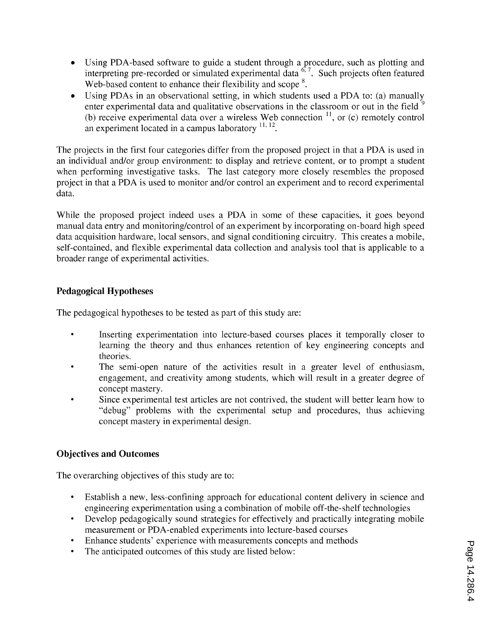- Using PDA-based software to guide a student through a procedure, such as plotting and interpreting pre-recorded or simulated experimental data  $6.7$ . Such projects often featured  $\bullet$ Web-based content to enhance their flexibility and scope<sup>8</sup>.
- Using PDAs in an observational setting, in which students used a PDA to: (a) manually enter experimental data and qualitative observations in the classroom or out in the field <sup>9</sup> (b) receive experimental data over a wireless Web connection  $11$ , or (c) remotely control an experiment located in a campus laboratory  $^{11, 12}$ .

The projects in the first four categories differ from the proposed project in that a PDA is used in an individual and/or group environment: to display and retrieve content, or to prompt a student when performing investigative tasks. The last category more closely resembles the proposed project in that a PDA is used to monitor and/or control an experiment and to record experimental data.

While the proposed project indeed uses a PDA in some of these capacities, it goes beyond manual data entry and monitoring/control of an experiment by incorporating on-board high speed data acquisition hardware, local sensors, and signal conditioning circuitry. This creates a mobile, self-contained, and flexible experimental data collection and analysis tool that is applicable to a broader range of experimental activities.

# **Pedagogical Hypotheses**

The pedagogical hypotheses to be tested as part of this study are:

- Inserting experimentation into lecture-based courses places it temporally closer to  $\bullet$ learning the theory and thus enhances retention of key engineering concepts and theories.
- The semi-open nature of the activities result in a greater level of enthusiasm, engagement, and creativity among students, which will result in a greater degree of concept mastery.
- Since experimental test articles are not contrived, the student will better learn how to "debug" problems with the experimental setup and procedures, thus achieving concept mastery in experimental design.

# **Objectives and Outcomes**

The overarching objectives of this study are to:

- Establish a new, less-confining approach for educational content delivery in science and  $\bullet$ engineering experimentation using a combination of mobile off-the-shelf technologies
- Develop pedagogically sound strategies for effectively and practically integrating mobile measurement or PDA-enabled experiments into lecture-based courses
- Enhance students' experience with measurements concepts and methods
- The anticipated outcomes of this study are listed below:  $\bullet$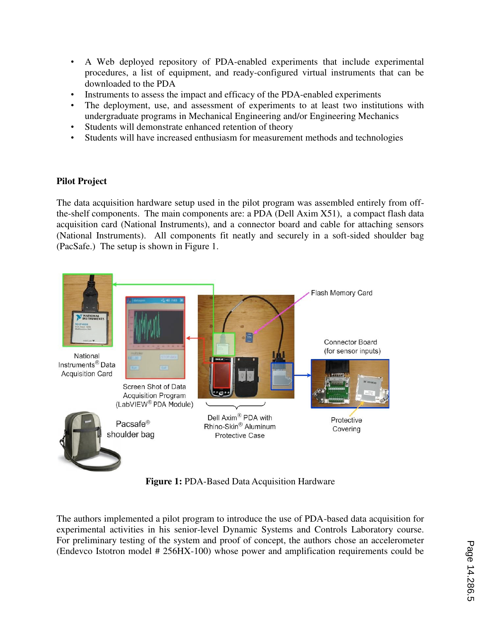- A Web deployed repository of PDA-enabled experiments that include experimental procedures, a list of equipment, and ready-configured virtual instruments that can be downloaded to the PDA
- Instruments to assess the impact and efficacy of the PDA-enabled experiments
- The deployment, use, and assessment of experiments to at least two institutions with undergraduate programs in Mechanical Engineering and/or Engineering Mechanics
- Students will demonstrate enhanced retention of theory
- Students will have increased enthusiasm for measurement methods and technologies

## **Pilot Project**

The data acquisition hardware setup used in the pilot program was assembled entirely from offthe-shelf components. The main components are: a PDA (Dell Axim X51), a compact flash data acquisition card (National Instruments), and a connector board and cable for attaching sensors (National Instruments). All components fit neatly and securely in a soft-sided shoulder bag (PacSafe.) The setup is shown in Figure 1.



**Figure 1:** PDA-Based Data Acquisition Hardware

The authors implemented a pilot program to introduce the use of PDA-based data acquisition for experimental activities in his senior-level Dynamic Systems and Controls Laboratory course. For preliminary testing of the system and proof of concept, the authors chose an accelerometer (Endevco Istotron model # 256HX-100) whose power and amplification requirements could be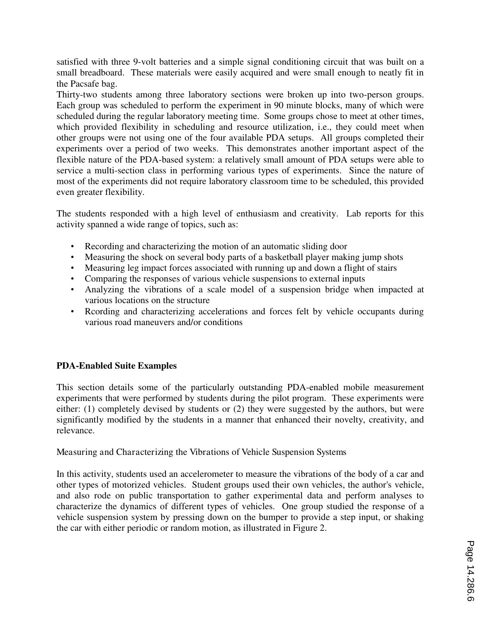satisfied with three 9-volt batteries and a simple signal conditioning circuit that was built on a small breadboard. These materials were easily acquired and were small enough to neatly fit in the Pacsafe bag.

Thirty-two students among three laboratory sections were broken up into two-person groups. Each group was scheduled to perform the experiment in 90 minute blocks, many of which were scheduled during the regular laboratory meeting time. Some groups chose to meet at other times, which provided flexibility in scheduling and resource utilization, i.e., they could meet when other groups were not using one of the four available PDA setups. All groups completed their experiments over a period of two weeks. This demonstrates another important aspect of the flexible nature of the PDA-based system: a relatively small amount of PDA setups were able to service a multi-section class in performing various types of experiments. Since the nature of most of the experiments did not require laboratory classroom time to be scheduled, this provided even greater flexibility.

The students responded with a high level of enthusiasm and creativity. Lab reports for this activity spanned a wide range of topics, such as:

- Recording and characterizing the motion of an automatic sliding door
- Measuring the shock on several body parts of a basketball player making jump shots
- Measuring leg impact forces associated with running up and down a flight of stairs
- Comparing the responses of various vehicle suspensions to external inputs
- Analyzing the vibrations of a scale model of a suspension bridge when impacted at various locations on the structure
- Rcording and characterizing accelerations and forces felt by vehicle occupants during various road maneuvers and/or conditions

## **PDA-Enabled Suite Examples**

This section details some of the particularly outstanding PDA-enabled mobile measurement experiments that were performed by students during the pilot program. These experiments were either: (1) completely devised by students or (2) they were suggested by the authors, but were significantly modified by the students in a manner that enhanced their novelty, creativity, and relevance.

Measuring and Characterizing the Vibrations of Vehicle Suspension Systems

In this activity, students used an accelerometer to measure the vibrations of the body of a car and other types of motorized vehicles. Student groups used their own vehicles, the author's vehicle, and also rode on public transportation to gather experimental data and perform analyses to characterize the dynamics of different types of vehicles. One group studied the response of a vehicle suspension system by pressing down on the bumper to provide a step input, or shaking the car with either periodic or random motion, as illustrated in Figure 2.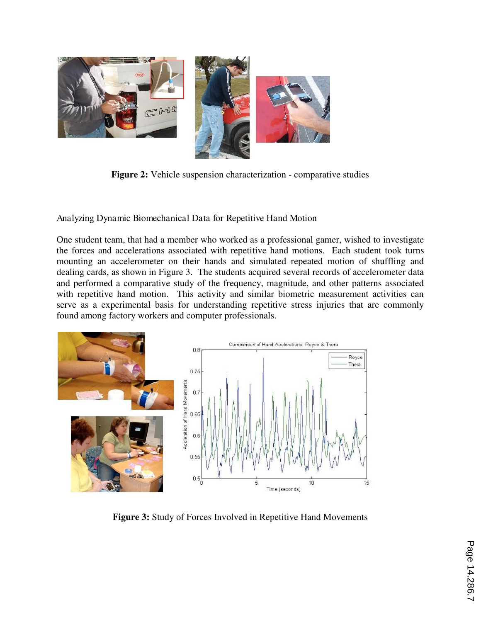

**Figure 2:** Vehicle suspension characterization - comparative studies

Analyzing Dynamic Biomechanical Data for Repetitive Hand Motion

One student team, that had a member who worked as a professional gamer, wished to investigate the forces and accelerations associated with repetitive hand motions. Each student took turns mounting an accelerometer on their hands and simulated repeated motion of shuffling and dealing cards, as shown in Figure 3. The students acquired several records of accelerometer data and performed a comparative study of the frequency, magnitude, and other patterns associated with repetitive hand motion. This activity and similar biometric measurement activities can serve as a experimental basis for understanding repetitive stress injuries that are commonly found among factory workers and computer professionals.



**Figure 3:** Study of Forces Involved in Repetitive Hand Movements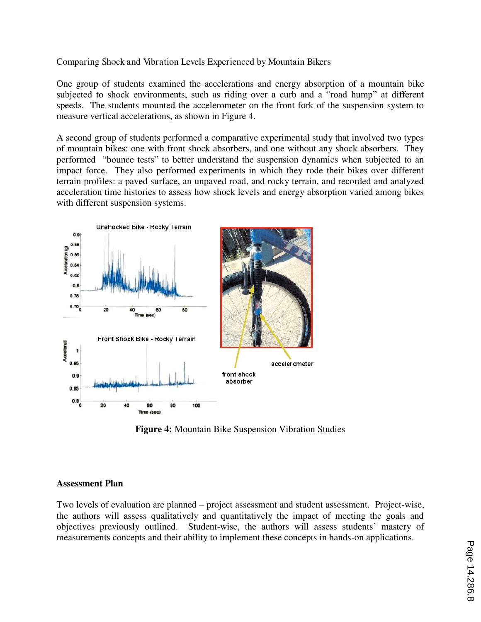### Comparing Shock and Vibration Levels Experienced by Mountain Bikers

One group of students examined the accelerations and energy absorption of a mountain bike subjected to shock environments, such as riding over a curb and a "road hump" at different speeds. The students mounted the accelerometer on the front fork of the suspension system to measure vertical accelerations, as shown in Figure 4.

A second group of students performed a comparative experimental study that involved two types of mountain bikes: one with front shock absorbers, and one without any shock absorbers. They performed "bounce tests" to better understand the suspension dynamics when subjected to an impact force. They also performed experiments in which they rode their bikes over different terrain profiles: a paved surface, an unpaved road, and rocky terrain, and recorded and analyzed acceleration time histories to assess how shock levels and energy absorption varied among bikes with different suspension systems.



**Figure 4:** Mountain Bike Suspension Vibration Studies

#### **Assessment Plan**

Two levels of evaluation are planned – project assessment and student assessment. Project-wise, the authors will assess qualitatively and quantitatively the impact of meeting the goals and objectives previously outlined. Student-wise, the authors will assess students' mastery of measurements concepts and their ability to implement these concepts in hands-on applications.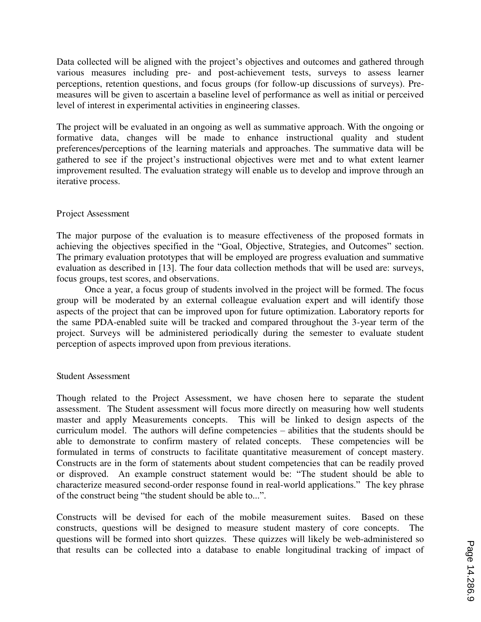Data collected will be aligned with the project's objectives and outcomes and gathered through various measures including pre- and post-achievement tests, surveys to assess learner perceptions, retention questions, and focus groups (for follow-up discussions of surveys). Premeasures will be given to ascertain a baseline level of performance as well as initial or perceived level of interest in experimental activities in engineering classes.

The project will be evaluated in an ongoing as well as summative approach. With the ongoing or formative data, changes will be made to enhance instructional quality and student preferences/perceptions of the learning materials and approaches. The summative data will be gathered to see if the project's instructional objectives were met and to what extent learner improvement resulted. The evaluation strategy will enable us to develop and improve through an iterative process.

#### Project Assessment

The major purpose of the evaluation is to measure effectiveness of the proposed formats in achieving the objectives specified in the "Goal, Objective, Strategies, and Outcomes" section. The primary evaluation prototypes that will be employed are progress evaluation and summative evaluation as described in [13]. The four data collection methods that will be used are: surveys, focus groups, test scores, and observations.

 Once a year, a focus group of students involved in the project will be formed. The focus group will be moderated by an external colleague evaluation expert and will identify those aspects of the project that can be improved upon for future optimization. Laboratory reports for the same PDA-enabled suite will be tracked and compared throughout the 3-year term of the project. Surveys will be administered periodically during the semester to evaluate student perception of aspects improved upon from previous iterations.

#### Student Assessment

Though related to the Project Assessment, we have chosen here to separate the student assessment. The Student assessment will focus more directly on measuring how well students master and apply Measurements concepts. This will be linked to design aspects of the curriculum model. The authors will define competencies – abilities that the students should be able to demonstrate to confirm mastery of related concepts. These competencies will be formulated in terms of constructs to facilitate quantitative measurement of concept mastery. Constructs are in the form of statements about student competencies that can be readily proved or disproved. An example construct statement would be: "The student should be able to characterize measured second-order response found in real-world applications." The key phrase of the construct being "the student should be able to...".

Constructs will be devised for each of the mobile measurement suites. Based on these constructs, questions will be designed to measure student mastery of core concepts. The questions will be formed into short quizzes. These quizzes will likely be web-administered so that results can be collected into a database to enable longitudinal tracking of impact of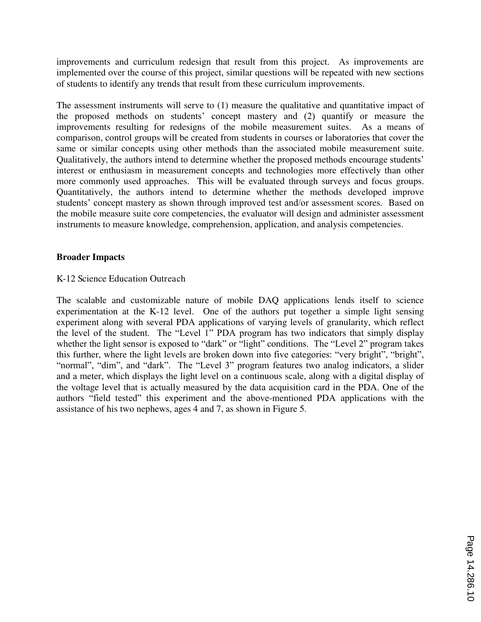improvements and curriculum redesign that result from this project. As improvements are implemented over the course of this project, similar questions will be repeated with new sections of students to identify any trends that result from these curriculum improvements.

The assessment instruments will serve to (1) measure the qualitative and quantitative impact of the proposed methods on students' concept mastery and (2) quantify or measure the improvements resulting for redesigns of the mobile measurement suites. As a means of comparison, control groups will be created from students in courses or laboratories that cover the same or similar concepts using other methods than the associated mobile measurement suite. Qualitatively, the authors intend to determine whether the proposed methods encourage students' interest or enthusiasm in measurement concepts and technologies more effectively than other more commonly used approaches. This will be evaluated through surveys and focus groups. Quantitatively, the authors intend to determine whether the methods developed improve students' concept mastery as shown through improved test and/or assessment scores. Based on the mobile measure suite core competencies, the evaluator will design and administer assessment instruments to measure knowledge, comprehension, application, and analysis competencies.

### **Broader Impacts**

### K-12 Science Education Outreach

The scalable and customizable nature of mobile DAQ applications lends itself to science experimentation at the K-12 level. One of the authors put together a simple light sensing experiment along with several PDA applications of varying levels of granularity, which reflect the level of the student. The "Level 1" PDA program has two indicators that simply display whether the light sensor is exposed to "dark" or "light" conditions. The "Level 2" program takes this further, where the light levels are broken down into five categories: "very bright", "bright", "normal", "dim", and "dark". The "Level 3" program features two analog indicators, a slider and a meter, which displays the light level on a continuous scale, along with a digital display of the voltage level that is actually measured by the data acquisition card in the PDA. One of the authors "field tested" this experiment and the above-mentioned PDA applications with the assistance of his two nephews, ages 4 and 7, as shown in Figure 5.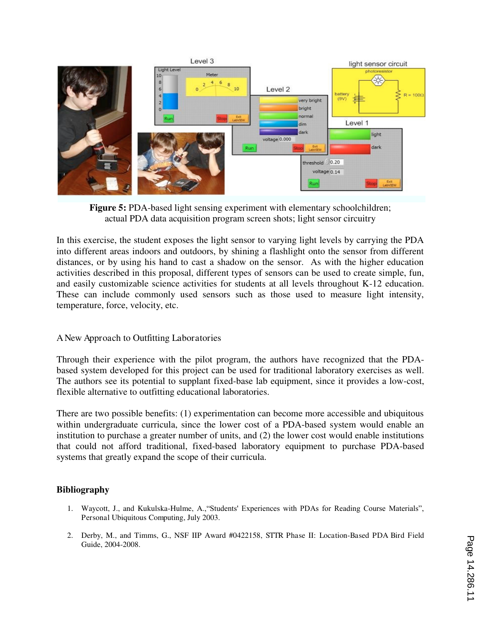

**Figure 5:** PDA-based light sensing experiment with elementary schoolchildren; actual PDA data acquisition program screen shots; light sensor circuitry

In this exercise, the student exposes the light sensor to varying light levels by carrying the PDA into different areas indoors and outdoors, by shining a flashlight onto the sensor from different distances, or by using his hand to cast a shadow on the sensor. As with the higher education activities described in this proposal, different types of sensors can be used to create simple, fun, and easily customizable science activities for students at all levels throughout K-12 education. These can include commonly used sensors such as those used to measure light intensity, temperature, force, velocity, etc.

#### A New Approach to Outfitting Laboratories

Through their experience with the pilot program, the authors have recognized that the PDAbased system developed for this project can be used for traditional laboratory exercises as well. The authors see its potential to supplant fixed-base lab equipment, since it provides a low-cost, flexible alternative to outfitting educational laboratories.

There are two possible benefits: (1) experimentation can become more accessible and ubiquitous within undergraduate curricula, since the lower cost of a PDA-based system would enable an institution to purchase a greater number of units, and (2) the lower cost would enable institutions that could not afford traditional, fixed-based laboratory equipment to purchase PDA-based systems that greatly expand the scope of their curricula.

## **Bibliography**

- 1. Waycott, J., and Kukulska-Hulme, A.,"Students' Experiences with PDAs for Reading Course Materials", Personal Ubiquitous Computing, July 2003.
- 2. Derby, M., and Timms, G., NSF IIP Award #0422158, STTR Phase II: Location-Based PDA Bird Field Guide, 2004-2008.